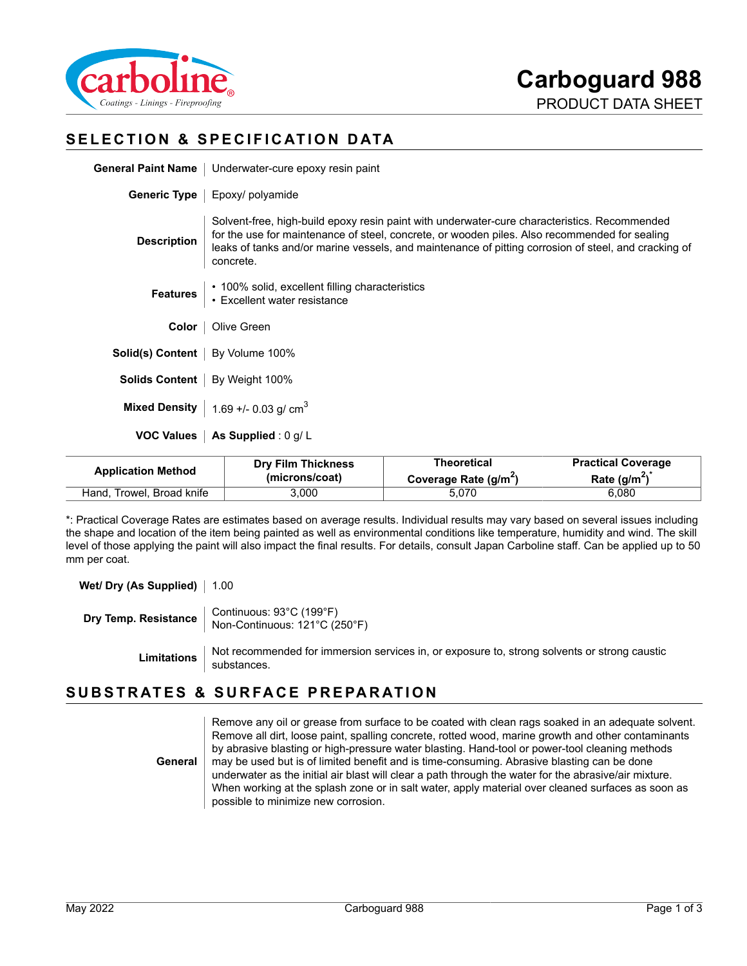

## **SELECTION & SPECIFICATION DATA**

**Generic Type** | Epoxy/ polyamide

| <b>General Paint Name</b>   Underwater-cure epoxy resin paint |  |
|---------------------------------------------------------------|--|
|                                                               |  |

| <b>Description</b> | Solvent-free, high-build epoxy resin paint with underwater-cure characteristics. Recommended<br>for the use for maintenance of steel, concrete, or wooden piles. Also recommended for sealing<br>leaks of tanks and/or marine vessels, and maintenance of pitting corrosion of steel, and cracking of<br>concrete. |
|--------------------|--------------------------------------------------------------------------------------------------------------------------------------------------------------------------------------------------------------------------------------------------------------------------------------------------------------------|
|                    | Features   • 100% solid, excellent filling characteristics<br>• Excellent water resistance                                                                                                                                                                                                                         |
| Color              | Olive Green                                                                                                                                                                                                                                                                                                        |
|                    |                                                                                                                                                                                                                                                                                                                    |

**Solid(s) Content** | By Volume 100%

**Solids Content** | By Weight 100%

**Mixed Density**  $\vert$  1.69 +/- 0.03 g/ cm<sup>3</sup>

**VOC Values** | As Supplied : 0 g/ L

| <b>Application Method</b> | <b>Dry Film Thickness</b> | Theoretical                       | <b>Practical Coverage</b> |
|---------------------------|---------------------------|-----------------------------------|---------------------------|
|                           | (microns/coat)            | Coverage Rate (g/m <sup>2</sup> ) | Rate $(q/m^2)$            |
| Hand, Trowel, Broad knife | 3,000                     | 5.070                             | 6,080                     |

\*: Practical Coverage Rates are estimates based on average results. Individual results may vary based on several issues including the shape and location of the item being painted as well as environmental conditions like temperature, humidity and wind. The skill level of those applying the paint will also impact the final results. For details, consult Japan Carboline staff. Can be applied up to 50 mm per coat.

**Wet/ Dry (As Supplied)** | 1.00

**Dry Temp. Resistance** Continuous: 93°C (199°F) Non-Continuous: 121°C (250°F)

Limitations Not recommended for immersion services in, or exposure to, strong solvents or strong caustic<br>substances.

## **SUBSTRATES & SURFACE PREPARATION**

**General** Remove any oil or grease from surface to be coated with clean rags soaked in an adequate solvent. Remove all dirt, loose paint, spalling concrete, rotted wood, marine growth and other contaminants by abrasive blasting or high-pressure water blasting. Hand-tool or power-tool cleaning methods may be used but is of limited benefit and is time-consuming. Abrasive blasting can be done underwater as the initial air blast will clear a path through the water for the abrasive/air mixture. When working at the splash zone or in salt water, apply material over cleaned surfaces as soon as possible to minimize new corrosion.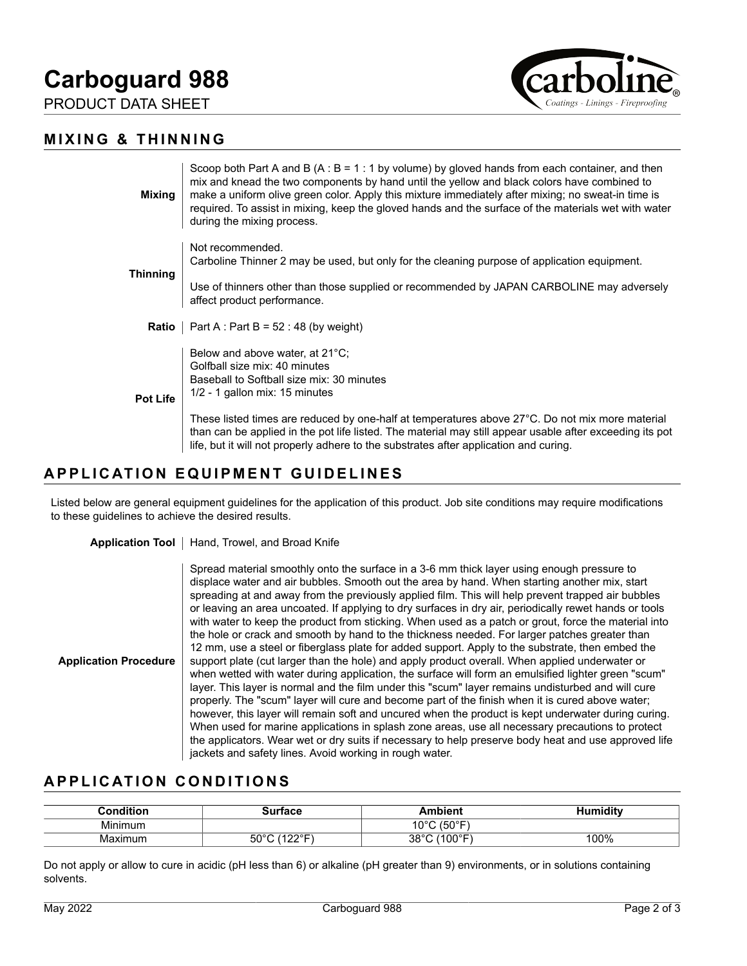# **Carboguard 988**

PRODUCT DATA SHEET





| <b>Mixing</b>   | Scoop both Part A and B (A : B = 1 : 1 by volume) by gloved hands from each container, and then<br>mix and knead the two components by hand until the yellow and black colors have combined to<br>make a uniform olive green color. Apply this mixture immediately after mixing; no sweat-in time is<br>required. To assist in mixing, keep the gloved hands and the surface of the materials wet with water<br>during the mixing process. |
|-----------------|--------------------------------------------------------------------------------------------------------------------------------------------------------------------------------------------------------------------------------------------------------------------------------------------------------------------------------------------------------------------------------------------------------------------------------------------|
| <b>Thinning</b> | Not recommended.<br>Carboline Thinner 2 may be used, but only for the cleaning purpose of application equipment.                                                                                                                                                                                                                                                                                                                           |
|                 | Use of thinners other than those supplied or recommended by JAPAN CARBOLINE may adversely<br>affect product performance.                                                                                                                                                                                                                                                                                                                   |
|                 | <b>Ratio</b>   Part A : Part B = $52 : 48$ (by weight)                                                                                                                                                                                                                                                                                                                                                                                     |
| <b>Pot Life</b> | Below and above water, at 21°C;<br>Golfball size mix: 40 minutes<br>Baseball to Softball size mix: 30 minutes<br>1/2 - 1 gallon mix: 15 minutes                                                                                                                                                                                                                                                                                            |
|                 | These listed times are reduced by one-half at temperatures above 27°C. Do not mix more material<br>than can be applied in the pot life listed. The material may still appear usable after exceeding its pot<br>life, but it will not properly adhere to the substrates after application and curing.                                                                                                                                       |

## **APPLICATION EQUIPMENT GUIDELINES**

Listed below are general equipment guidelines for the application of this product. Job site conditions may require modifications to these guidelines to achieve the desired results.

Application Tool | Hand, Trowel, and Broad Knife

| <b>Application Procedure</b> | Spread material smoothly onto the surface in a 3-6 mm thick layer using enough pressure to<br>displace water and air bubbles. Smooth out the area by hand. When starting another mix, start<br>spreading at and away from the previously applied film. This will help prevent trapped air bubbles<br>or leaving an area uncoated. If applying to dry surfaces in dry air, periodically rewet hands or tools<br>with water to keep the product from sticking. When used as a patch or grout, force the material into<br>the hole or crack and smooth by hand to the thickness needed. For larger patches greater than<br>12 mm, use a steel or fiberglass plate for added support. Apply to the substrate, then embed the<br>support plate (cut larger than the hole) and apply product overall. When applied underwater or<br>"when wetted with water during application, the surface will form an emulsified lighter green "scum"<br>layer. This layer is normal and the film under this "scum" layer remains undisturbed and will cure<br>properly. The "scum" layer will cure and become part of the finish when it is cured above water;<br>however, this layer will remain soft and uncured when the product is kept underwater during curing. |
|------------------------------|-----------------------------------------------------------------------------------------------------------------------------------------------------------------------------------------------------------------------------------------------------------------------------------------------------------------------------------------------------------------------------------------------------------------------------------------------------------------------------------------------------------------------------------------------------------------------------------------------------------------------------------------------------------------------------------------------------------------------------------------------------------------------------------------------------------------------------------------------------------------------------------------------------------------------------------------------------------------------------------------------------------------------------------------------------------------------------------------------------------------------------------------------------------------------------------------------------------------------------------------------------|
|                              | When used for marine applications in splash zone areas, use all necessary precautions to protect<br>the applicators. Wear wet or dry suits if necessary to help preserve body heat and use approved life<br>jackets and safety lines. Avoid working in rough water.                                                                                                                                                                                                                                                                                                                                                                                                                                                                                                                                                                                                                                                                                                                                                                                                                                                                                                                                                                                 |

#### **APPLICATION CONDITIONS**

| Condition | Surface                                        | <b>\mbient</b>  | <b>Humidity</b> |
|-----------|------------------------------------------------|-----------------|-----------------|
| Minimum   |                                                | 10°C (50°F)     |                 |
| Maximum   | 50 $^{\circ}$ C<br>(4000 <sub>0</sub> )<br>--- | (100°F)<br>38°C | 100%            |

Do not apply or allow to cure in acidic (pH less than 6) or alkaline (pH greater than 9) environments, or in solutions containing solvents.